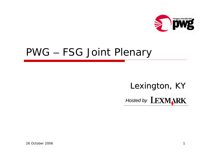

## PWG – FSG Joint Plenary

# Lexington, KY *Hosted by Hosted by*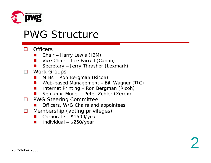

### PWG Structure

#### П **Officers**

- u Chair – Harry Lewis (IBM)
- ۳ Vice Chair – Lee Farrell (Canon)
- ۳ Secretary – Jerry Thrasher (Lexmark)
- 0 Work Groups
	- u MIBs – Ron Bergman (Ricoh)
	- ۳ Web-based Management – Bill Wagner (TIC)

- ۳ Internet Printing – Ron Bergman (Ricoh)
- u Semantic Model – Peter Zehler (Xerox)
- O **PWG Steering Committee** 
	- u Officers, W/G Chairs and appointees
- □ Membership (voting privileges) Membership (voting privileges)
	- u Corporate –  $$1500/year$
	- ۳ Individual –  $$250/year$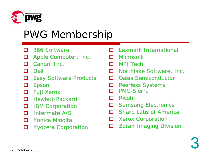

# PWG Membership

- П 366 Software
- □ Apple Computer, Inc.
- п Canon, Inc.
- П Dell
- $\Box$ **Easy Software Products**
- □ Epson
- $\Box$ Fuji Xerox
- п Hewlett-Packard
- □ **IBM Corporation**
- П **Intermate A/S**
- $\Box$ Konica Minolta
- □ **Kyocera Corporation**
- □ Lexmark International
- П **Microsoft**
- п MPI Tech
- п Northlake Software, Inc.
- п **Oasis Semiconductor**
- □ Peerless Systems
- П PMC-Sierra
- п Ricoh
- □ **Samsung Electronics**
- $\Box$ Sharp Labs of America
- $\Box$ **Xerox Corporation**
- □ **Zoran Imaging Division**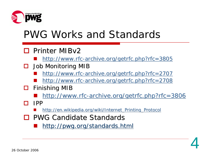

## PWG Works and Standards

### □ Printer MIBv2

- an<br>Ma <http://www.rfc-archive.org/getrfc.php?rfc=3805>
- □ Job Monitoring MIB
	- an<br>Ma <http://www.rfc-archive.org/getrfc.php?rfc=2707>
	- an<br>Ma [http://www.rfc-archive.org/getrfc.php?rfc](http://www.rfc-archive.org/getrfc.php?rfc=2708)=2708
- $\Box$ Finishing MIB
	- [http://www.rfc-archive.org/getrfc.php?rfc](http://www.rfc-archive.org/getrfc.php?rfc=3806)=3806

- $\blacksquare$  IPP
	- ۳ [http://en.wikipedia.org/wiki/Internet\\_Printing\\_Protocol](http://en.wikipedia.org/wiki/Internet_Printing_Protocol)
- **□ PWG Candidate Standards** 
	- <http://pwg.org/standards.html>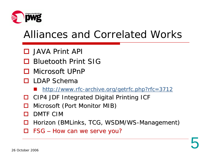

## Alliances and Correlated Works

- □ JAVA Print API
- **□ Bluetooth Print SIG**
- **□** Microsoft UPnP
- $\square$  LDAP Schema
	- <http://www.rfc-archive.org/getrfc.php?rfc=3712>
- ш CIP4 JDF Integrated Digital Printing ICF
- H Microsoft (Port Monitor MIB)
- $\blacksquare$ DMTF CIM
- ш Horizon ( BMLinks, TCG, WSDM/WS-Management)

5

 $\Box$ FSG – How can we serve you?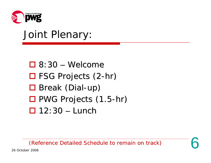

### Joint Plenary:

- $\Box$  8:30 Welcome □ FSG Projects (2-hr) □ Break (Dial-up) □ PWG Projects (1.5-hr)
- $\Box$  12:30 Lunch

(Reference Detailed Schedule to remain on track) (Reference Detailed Schedule to remain on track)

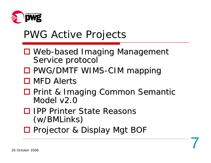

## PWG Active Projects

- □ Web-based Imaging Management Service protocol
- □ PWG/DMTF WIMS-CIM mapping
- $\square$  MFD Alerts
- □ Print & Imaging Common Semantic Model v2.0

- □ IPP Printer State Reasons  $(w/BMLinks)$
- □ Projector & Display Mgt BOF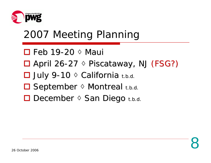

# 2007 Meeting Planning

- $\square$  Feb 19-20  $\lozenge$  Maui
- □ April 26-27 ◊ Piscataway, NJ (FSG?)
- **□ July 9-10 ♦ California t.b.d.**
- **□ September ♦ Montreal t.b.d.**
- **□ December ◊ San Diego t.b.d.**